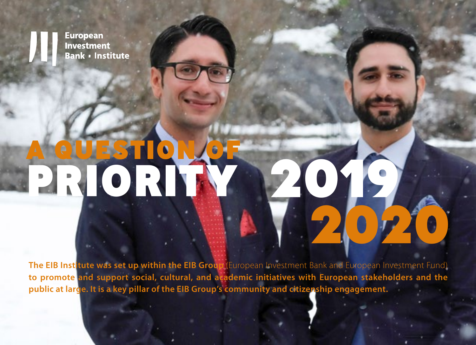**European Investment Bank · Institute** 

# A QUESTION OF PRIORITY

**The EIB Institute was set up within the EIB Group** (European Investment Bank and European Investment Fund) **to promote and support social, cultural, and academic initiatives with European stakeholders and the public at large. It is a key pillar of the EIB Group's community and citizenship engagement.**

2019

2020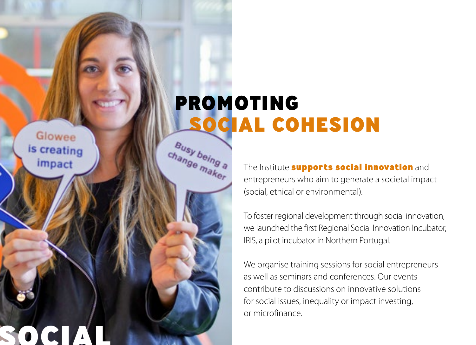Glowee is creating impact

SOCIAL

PROMOTING SOCIAL COHESION Busy being a

change maker

The Institute **supports social innovation** and entrepreneurs who aim to generate a societal impact (social, ethical or environmental).

To foster regional development through social innovation, we launched the first Regional Social Innovation Incubator, IRIS, a pilot incubator in Northern Portugal.

We organise training sessions for social entrepreneurs as well as seminars and conferences. Our events contribute to discussions on innovative solutions for social issues, inequality or impact investing, or microfinance.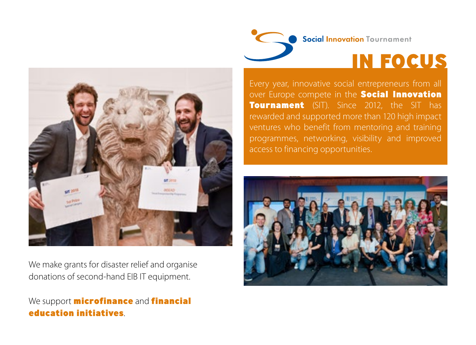

Every year, innovative social entrepreneurs from all over Europe compete in the **Social Innovation Tournament** (SIT). Since 2012, the SIT has rewarded and supported more than 120 high impact ventures who benefit from mentoring and training access to financing opportunities.





We make grants for disaster relief and organise donations of second-hand EIB IT equipment.

#### We support **microfinance** and **financial** education initiatives.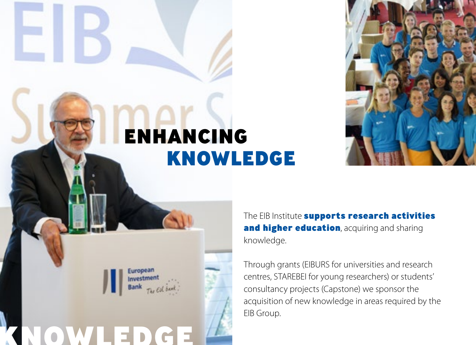

### KNOWLEDGE ENHANCING

KNOWLEDGE

The EIB Institute supports research activities and higher education, acquiring and sharing knowledge.

Through grants (EIBURS for universities and research centres, STAREBEI for young researchers) or students' consultancy projects (Capstone) we sponsor the acquisition of new knowledge in areas required by the EIB Group.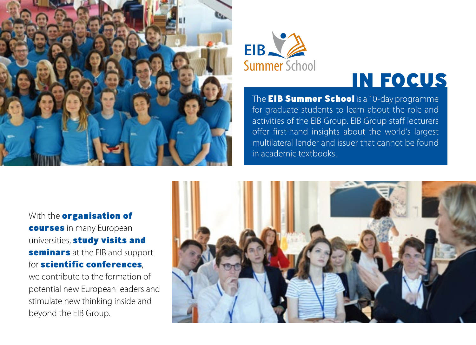



### IN FOCUS

The **EIB Summer School** is a 10-day programme for graduate students to learn about the role and activities of the EIB Group. EIB Group staff lecturers offer first-hand insights about the world's largest multilateral lender and issuer that cannot be found in academic textbooks.

With the **organisation of** courses in many European universities, **study visits and** seminars at the EIB and support for scientific conferences,

we contribute to the formation of potential new European leaders and stimulate new thinking inside and beyond the EIB Group.

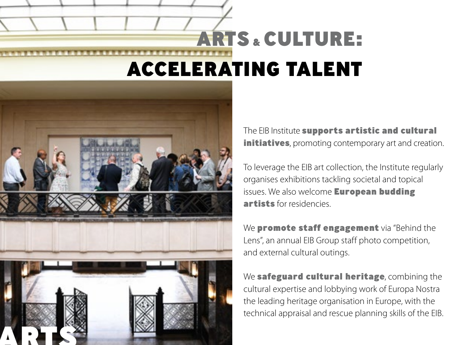## ACCELERATING TALENT ARTS & CULTURE:



The EIB Institute supports artistic and cultural initiatives, promoting contemporary art and creation.

To leverage the EIB art collection, the Institute regularly organises exhibitions tackling societal and topical issues. We also welcome **European budding** artists for residencies.

We promote staff engagement via "Behind the Lens", an annual EIB Group staff photo competition, and external cultural outings.

We safeguard cultural heritage, combining the cultural expertise and lobbying work of Europa Nostra the leading heritage organisation in Europe, with the technical appraisal and rescue planning skills of the EIB.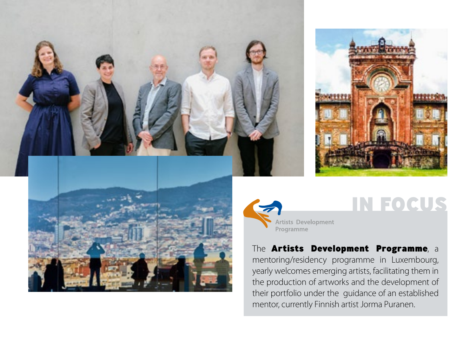



### IN FOCUS

The **Artists Development Programme**, a mentoring/residency programme in Luxembourg,

yearly welcomes emerging artists, facilitating them in the production of artworks and the development of their portfolio under the guidance of an established mentor, currently Finnish artist Jorma Puranen.